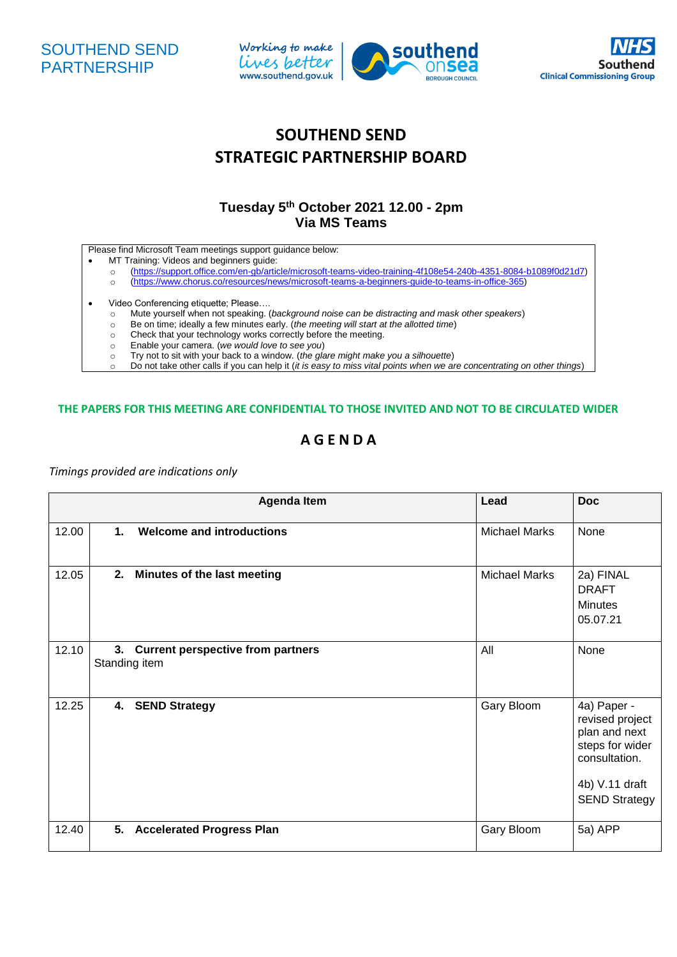





## **SOUTHEND SEND STRATEGIC PARTNERSHIP BOARD**

## **Tuesday 5 th October 2021 12.00 - 2pm Via MS Teams**

Please find Microsoft Team meetings support guidance below:

- MT Training: Videos and beginners guide:
	- o [\(https://support.office.com/en-gb/article/microsoft-teams-video-training-4f108e54-240b-4351-8084-b1089f0d21d7\)](https://support.office.com/en-gb/article/microsoft-teams-video-training-4f108e54-240b-4351-8084-b1089f0d21d7)
	- o [\(https://www.chorus.co/resources/news/microsoft-teams-a-beginners-guide-to-teams-in-office-365\)](https://www.chorus.co/resources/news/microsoft-teams-a-beginners-guide-to-teams-in-office-365)
- 
- Video Conferencing etiquette; Please....<br>
o Mute yourself when not speaking. ( Mute yourself when not speaking. (*background noise can be distracting and mask other speakers*)
	- o Be on time; ideally a few minutes early. (*the meeting will start at the allotted time*)
	- o Check that your technology works correctly before the meeting.
	- o Enable your camera. (*we would love to see you*)
	- o Try not to sit with your back to a window. (*the glare might make you a silhouette*)
	- o Do not take other calls if you can help it (*it is easy to miss vital points when we are concentrating on other things*)

## **THE PAPERS FOR THIS MEETING ARE CONFIDENTIAL TO THOSE INVITED AND NOT TO BE CIRCULATED WIDER**

## **A G E N D A**

*Timings provided are indications only* 

|       |               | <b>Agenda Item</b>                                    | Lead                 | <b>Doc</b>                                                                                                                    |
|-------|---------------|-------------------------------------------------------|----------------------|-------------------------------------------------------------------------------------------------------------------------------|
| 12.00 | $\mathbf 1$ . | <b>Welcome and introductions</b>                      | <b>Michael Marks</b> | None                                                                                                                          |
| 12.05 | 2.            | Minutes of the last meeting                           | <b>Michael Marks</b> | 2a) FINAL<br><b>DRAFT</b><br><b>Minutes</b><br>05.07.21                                                                       |
| 12.10 |               | 3. Current perspective from partners<br>Standing item | All                  | None                                                                                                                          |
| 12.25 | 4.            | <b>SEND Strategy</b>                                  | Gary Bloom           | 4a) Paper -<br>revised project<br>plan and next<br>steps for wider<br>consultation.<br>4b) V.11 draft<br><b>SEND Strategy</b> |
| 12.40 | 5.            | <b>Accelerated Progress Plan</b>                      | Gary Bloom           | 5a) APP                                                                                                                       |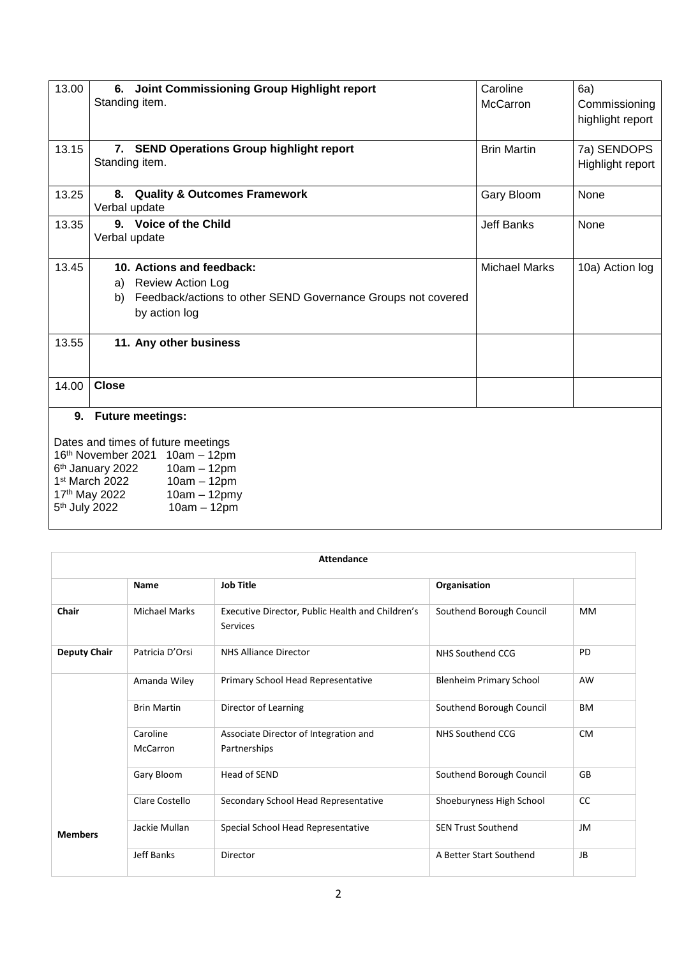| 13.00                                                        | 6. Joint Commissioning Group Highlight report                      | Caroline             | 6a)              |  |
|--------------------------------------------------------------|--------------------------------------------------------------------|----------------------|------------------|--|
|                                                              | Standing item.                                                     | McCarron             | Commissioning    |  |
|                                                              |                                                                    |                      | highlight report |  |
|                                                              |                                                                    |                      |                  |  |
| 13.15                                                        | 7. SEND Operations Group highlight report                          | <b>Brin Martin</b>   | 7a) SENDOPS      |  |
|                                                              | Standing item.                                                     |                      | Highlight report |  |
|                                                              |                                                                    |                      |                  |  |
| 13.25                                                        | 8. Quality & Outcomes Framework                                    | Gary Bloom           | None             |  |
|                                                              | Verbal update                                                      |                      |                  |  |
| 13.35                                                        | 9. Voice of the Child                                              | <b>Jeff Banks</b>    | None             |  |
|                                                              | Verbal update                                                      |                      |                  |  |
|                                                              |                                                                    |                      |                  |  |
| 13.45                                                        | 10. Actions and feedback:                                          | <b>Michael Marks</b> | 10a) Action log  |  |
|                                                              | <b>Review Action Log</b><br>a)                                     |                      |                  |  |
|                                                              | Feedback/actions to other SEND Governance Groups not covered<br>b) |                      |                  |  |
|                                                              | by action log                                                      |                      |                  |  |
|                                                              |                                                                    |                      |                  |  |
| 13.55                                                        | 11. Any other business                                             |                      |                  |  |
|                                                              |                                                                    |                      |                  |  |
|                                                              |                                                                    |                      |                  |  |
| 14.00                                                        | <b>Close</b>                                                       |                      |                  |  |
|                                                              |                                                                    |                      |                  |  |
|                                                              | 9. Future meetings:                                                |                      |                  |  |
|                                                              |                                                                    |                      |                  |  |
| Dates and times of future meetings                           |                                                                    |                      |                  |  |
| 16th November 2021 10am - 12pm                               |                                                                    |                      |                  |  |
| 6 <sup>th</sup> January 2022<br>$10am - 12pm$                |                                                                    |                      |                  |  |
| 1st March 2022<br>$10am - 12pm$                              |                                                                    |                      |                  |  |
| 17th May 2022<br>$10am - 12pmy$<br>5 <sup>th</sup> July 2022 |                                                                    |                      |                  |  |
|                                                              | $10am - 12pm$                                                      |                      |                  |  |

| Attendance          |                             |                                                                     |                                |           |  |
|---------------------|-----------------------------|---------------------------------------------------------------------|--------------------------------|-----------|--|
|                     | <b>Name</b>                 | <b>Job Title</b>                                                    | Organisation                   |           |  |
| Chair               | <b>Michael Marks</b>        | Executive Director, Public Health and Children's<br><b>Services</b> | Southend Borough Council       | MM        |  |
| <b>Deputy Chair</b> | Patricia D'Orsi             | <b>NHS Alliance Director</b>                                        | NHS Southend CCG               | PD        |  |
|                     | Amanda Wiley                | Primary School Head Representative                                  | <b>Blenheim Primary School</b> | AW        |  |
|                     | <b>Brin Martin</b>          | Director of Learning                                                | Southend Borough Council       | <b>BM</b> |  |
|                     | Caroline<br><b>McCarron</b> | Associate Director of Integration and<br>Partnerships               | NHS Southend CCG               | <b>CM</b> |  |
|                     | Gary Bloom                  | Head of SEND                                                        | Southend Borough Council       | GB        |  |
|                     | Clare Costello              | Secondary School Head Representative                                | Shoeburyness High School       | CC        |  |
| <b>Members</b>      | Jackie Mullan               | Special School Head Representative                                  | <b>SEN Trust Southend</b>      | JM        |  |
|                     | <b>Jeff Banks</b>           | Director                                                            | A Better Start Southend        | JB        |  |